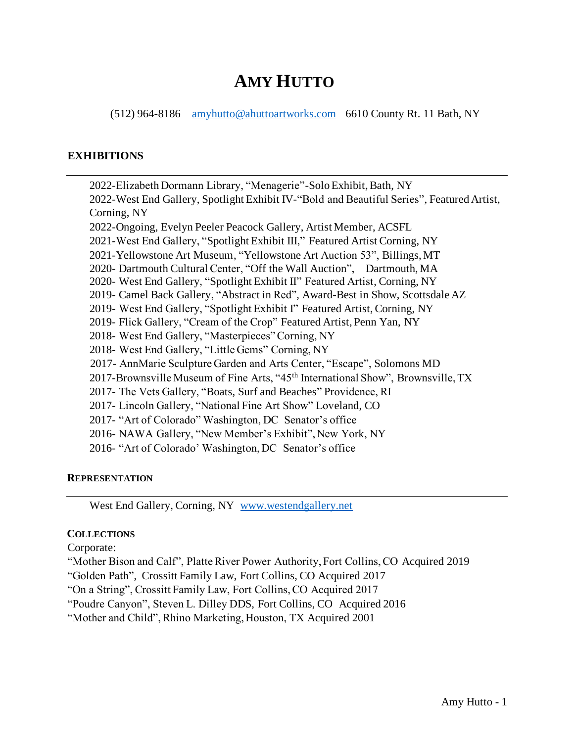# **AMY HUTTO**

(512) 964-8186 [amyhutto@ahuttoartworks.com](mailto:amyhutto@ahuttoartworks.com) 6610 County Rt. 11 Bath, NY

#### **EXHIBITIONS**

2022-Elizabeth Dormann Library, "Menagerie"-Solo Exhibit, Bath, NY 2022-West End Gallery, Spotlight Exhibit IV-"Bold and Beautiful Series", Featured Artist, Corning, NY 2022-Ongoing, Evelyn Peeler Peacock Gallery, Artist Member, ACSFL 2021-West End Gallery, "Spotlight Exhibit III," Featured Artist Corning, NY 2021-Yellowstone Art Museum, "Yellowstone Art Auction 53", Billings, MT 2020- Dartmouth Cultural Center, "Off the Wall Auction", Dartmouth, MA 2020- West End Gallery, "Spotlight Exhibit II" Featured Artist, Corning, NY 2019- Camel Back Gallery, "Abstract in Red", Award-Best in Show, Scottsdale AZ 2019- West End Gallery, "Spotlight Exhibit I" Featured Artist, Corning, NY 2019- Flick Gallery, "Cream of the Crop" Featured Artist, Penn Yan, NY 2018- West End Gallery, "Masterpieces" Corning, NY 2018- West End Gallery, "Little Gems" Corning, NY 2017- AnnMarie Sculpture Garden and Arts Center, "Escape", Solomons MD 2017-Brownsville Museum of Fine Arts, "45<sup>th</sup> International Show", Brownsville, TX 2017- The Vets Gallery, "Boats, Surf and Beaches" Providence, RI 2017- Lincoln Gallery, "National Fine Art Show" Loveland, CO 2017- "Art of Colorado" Washington, DC Senator's office 2016- NAWA Gallery, "New Member's Exhibit", New York, NY 2016- "Art of Colorado' Washington, DC Senator's office

#### **REPRESENTATION**

West End Gallery, Corning, NY [www.westendgallery.net](file:///C:/Users/ajhut/OneDrive/Documents/www.westendgallery.net)

#### **COLLECTIONS**

Corporate:

"Mother Bison and Calf", Platte River Power Authority, Fort Collins, CO Acquired 2019

"Golden Path", Crossitt Family Law, Fort Collins, CO Acquired 2017

"On a String", Crossitt Family Law, Fort Collins, CO Acquired 2017

"Poudre Canyon", Steven L. Dilley DDS, Fort Collins, CO Acquired 2016

"Mother and Child", Rhino Marketing, Houston, TX Acquired 2001